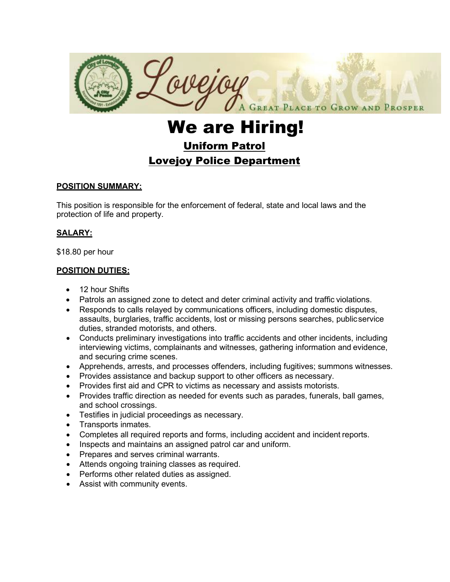

# We are Hiring! Uniform Patrol Lovejoy Police Department

## **POSITION SUMMARY:**

This position is responsible for the enforcement of federal, state and local laws and the protection of life and property.

## **SALARY:**

\$18.80 per hour

## **POSITION DUTIES:**

- 12 hour Shifts
- Patrols an assigned zone to detect and deter criminal activity and traffic violations.
- Responds to calls relayed by communications officers, including domestic disputes, assaults, burglaries, traffic accidents, lost or missing persons searches, publicservice duties, stranded motorists, and others.
- Conducts preliminary investigations into traffic accidents and other incidents, including interviewing victims, complainants and witnesses, gathering information and evidence, and securing crime scenes.
- Apprehends, arrests, and processes offenders, including fugitives; summons witnesses.
- Provides assistance and backup support to other officers as necessary.
- Provides first aid and CPR to victims as necessary and assists motorists.
- Provides traffic direction as needed for events such as parades, funerals, ball games, and school crossings.
- Testifies in judicial proceedings as necessary.
- Transports inmates.
- Completes all required reports and forms, including accident and incident reports.
- Inspects and maintains an assigned patrol car and uniform.
- Prepares and serves criminal warrants.
- Attends ongoing training classes as required.
- Performs other related duties as assigned.
- Assist with community events.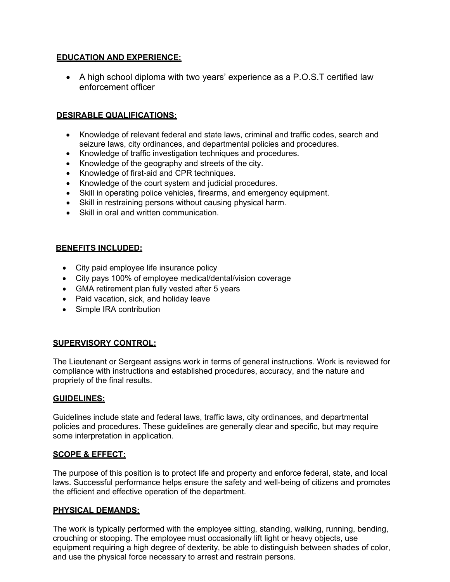## **EDUCATION AND EXPERIENCE:**

• A high school diploma with two years' experience as a P.O.S.T certified law enforcement officer

# **DESIRABLE QUALIFICATIONS:**

- Knowledge of relevant federal and state laws, criminal and traffic codes, search and seizure laws, city ordinances, and departmental policies and procedures.
- Knowledge of traffic investigation techniques and procedures.
- Knowledge of the geography and streets of the city.
- Knowledge of first-aid and CPR techniques.
- Knowledge of the court system and judicial procedures.
- Skill in operating police vehicles, firearms, and emergency equipment.
- Skill in restraining persons without causing physical harm.
- Skill in oral and written communication.

## **BENEFITS INCLUDED:**

- City paid employee life insurance policy
- City pays 100% of employee medical/dental/vision coverage
- GMA retirement plan fully vested after 5 years
- Paid vacation, sick, and holiday leave
- Simple IRA contribution

# **SUPERVISORY CONTROL:**

The Lieutenant or Sergeant assigns work in terms of general instructions. Work is reviewed for compliance with instructions and established procedures, accuracy, and the nature and propriety of the final results.

## **GUIDELINES:**

Guidelines include state and federal laws, traffic laws, city ordinances, and departmental policies and procedures. These guidelines are generally clear and specific, but may require some interpretation in application.

## **SCOPE & EFFECT:**

The purpose of this position is to protect life and property and enforce federal, state, and local laws. Successful performance helps ensure the safety and well-being of citizens and promotes the efficient and effective operation of the department.

## **PHYSICAL DEMANDS:**

The work is typically performed with the employee sitting, standing, walking, running, bending, crouching or stooping. The employee must occasionally lift light or heavy objects, use equipment requiring a high degree of dexterity, be able to distinguish between shades of color, and use the physical force necessary to arrest and restrain persons.